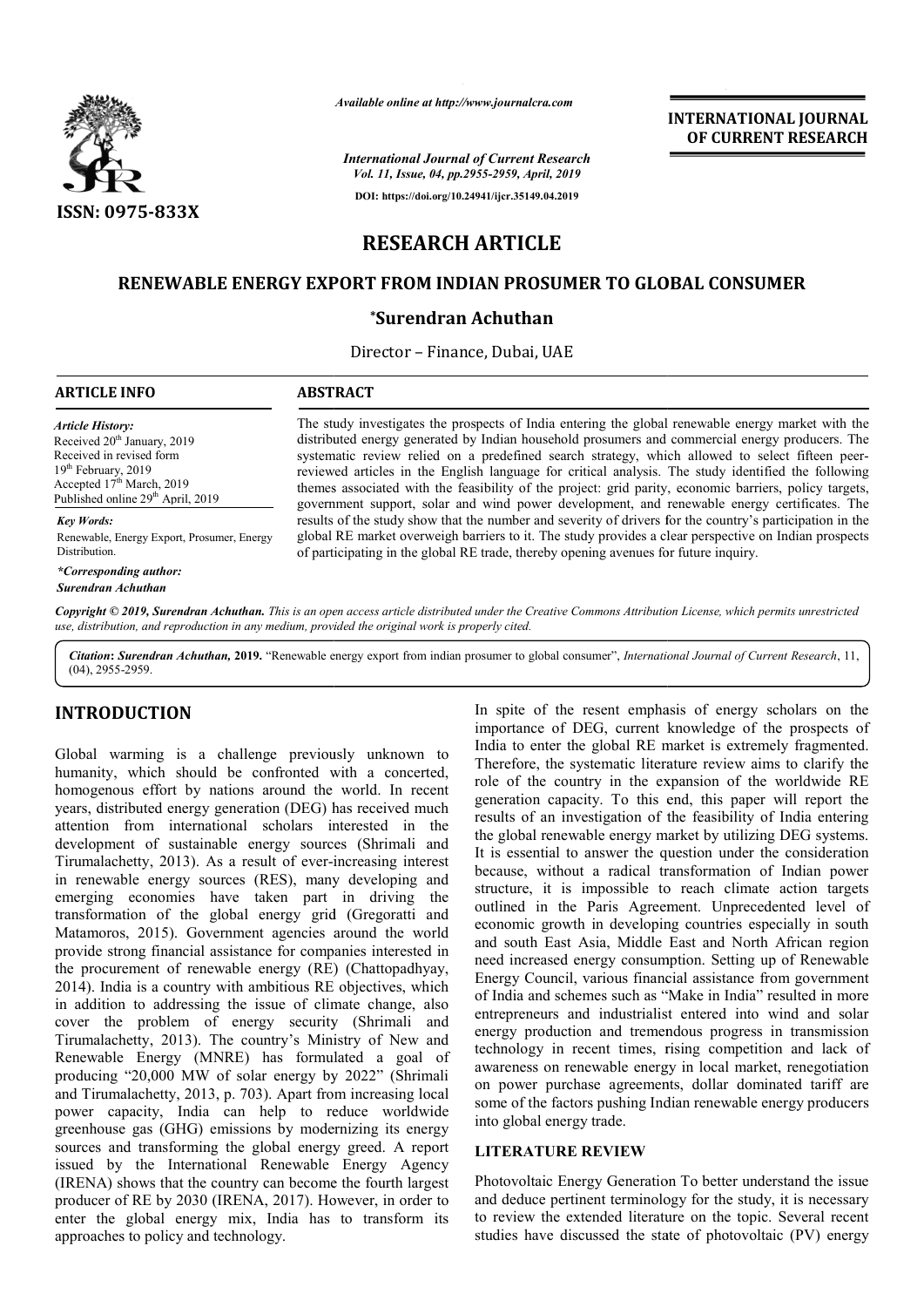

*Available online at http://www.journalcra.com*

*International Journal of Current Research Vol. 11, Issue, 04, pp.2955-2959, April, 2019*

**DOI: https://doi.org/10.24941/ijcr.35149.04.2019**

**INTERNATIONAL JOURNAL OF CURRENT RESEARCH**

# **RESEARCH ARTICLE**

# **RENEWABLE ENERGY EXPORT FROM INDIAN PROSUMER TO GLOBAL CONSUMER GLOBAL CONSUMER**

## **\*Surendran Achuthan**

Director – Finance, Dubai, UAE

#### **ARTICLE INFO ABSTRACT** The study investigates the prospects of India entering the global renewable energy market with the distributed energy generated by Indian household prosumers and commercial energy producers. The The study investigates the prospects of India entering the global renewable energy market with the distributed energy generated by Indian household prosumers and commercial energy producers. The systematic review relied on reviewed articles in the English language for critical analysis. The study identified the following themes associated with the feasibility of the project: grid parity, economic barriers, policy targets, government support, solar and wind power development, and renewable energy certificates. The results of the study show that the number and severity of drivers for the country's participation in the global RE market overweigh barriers to it. The study provides a clear perspec of participating in the global RE trade, thereby opening avenues for future inquiry. *Article History:* Received 20<sup>th</sup> January, 2019 Received in revised form 19<sup>th</sup> February, 2019 Accepted  $17<sup>th</sup>$  March, 2019 Published online 29<sup>th</sup> April, 2019 *Key Words:* Renewable, Energy Export, Prosumer, Energy Distribution. reviewed articles in the English language for critical analysis. The study identified the following themes associated with the feasibility of the project: grid parity, economic barriers, policy targets, government support,

Copyright © 2019, Surendran Achuthan. This is an open access article distributed under the Creative Commons Attribution License, which permits unrestrictea *use, distribution, and reproduction in any medium, provided the original work is properly cited.*

Citation: Surendran Achuthan, 2019. "Renewable energy export from indian prosumer to global consumer", *International Journal of Current Research*, 11, (04), 2955-2959.

# **INTRODUCTION**

*\*Corresponding author: Surendran Achuthan*

Global warming is a challenge previously unknown to humanity, which should be confronted with a concerted, homogenous effort by nations around the world. In recent years, distributed energy generation (DEG) has received much attention from international scholars interested in the development of sustainable energy sources (Shrimali and Tirumalachetty, 2013). As a result of ever-increasing interest Tirumalachetty, 2013). As a result of ever-increasing interest<br>in renewable energy sources (RES), many developing and emerging economies have taken part in driving the transformation of the global energy grid (Gregoratti and Matamoros, 2015). Government agencies around the world provide strong financial assistance for companies interested in the procurement of renewable energy (RE) (Chattopadhyay, 2014). India is a country with ambitious RE objectives, which in addition to addressing the issue of climate change, also cover the problem of energy security (Shrimali and Tirumalachetty, 2013). The country's Ministry of New and Renewable Energy (MNRE) has formulated a goal of producing "20,000 MW of solar energy by 2022" (Shrimali and Tirumalachetty, 2013, p. 703). Apart from increasing local power capacity, India can help to reduce worldwide greenhouse gas (GHG) emissions by modernizing its energy sources and transforming the global energy greed. A report issued by the International Renewable Energy Agency (IRENA) shows that the country can become the fourth largest producer of RE by 2030 (IRENA, 2017). However, in order to enter the global energy mix, India has to transform its approaches to policy and technology. tty, 2013). The country's Ministry of New and<br>Energy (MNRE) has formulated a goal of<br>20,000 MW of solar energy by 2022" (Shrimali<br>achetty, 2013, p. 703). Apart from increasing local<br>acity, India can help to reduce worldwid In spite of the resent emphasis of energy scholars on the importance of DEG, current knowledge of the prospects of India to enter the global RE market is extremely fragmented. Therefore, the systematic literature review aims to clarify the role of the country in the expansion of the worldwide RE generation capacity. To this end, this paper will report the results of an investigation of the feasibility of India entering the global renewable energy market by utilizing DEG systems. It is essential to answer the question under the consideration because, without a radical transformation of Indian power structure, it is impossible to reach climate action targets outlined in the Paris Agreement. Unprecedented level of economic growth in developing countries especially in south and south East Asia, Middle East and North African region need increased energy consumption. Setting up of Energy Council, various financial assistance from government of India and schemes such as "Make in India" resulted in more entrepreneurs and industrialist entered into wind and solar energy production and tremendous progress in transmission technology in recent times, rising competition and lack of awareness on renewable energy in local market, renegotiation on power purchase agreements, dollar dominated tariff are some of the factors pushing Indian renewable energy producers into global energy trade. In spite of the resent emphasis of energy scholars on the<br>importance of DEG, current knowledge of the prospects of<br>India to enter the global RE market is extremely fragmented.<br>Therefore, the systematic literature review ai Energy Council, various financial assistance from government<br>of India and schemes such as "Make in India" resulted in more<br>entrepreneurs and industrialist entered into wind and solar<br>energy production and tremendous progre

#### **LITERATURE REVIEW**

Photovoltaic Energy Generation To better understand the issue and deduce pertinent terminology for the study, it is necessary to review the extended literature on the topic. Several recent studies have discussed the state of photovoltaic (PV) energy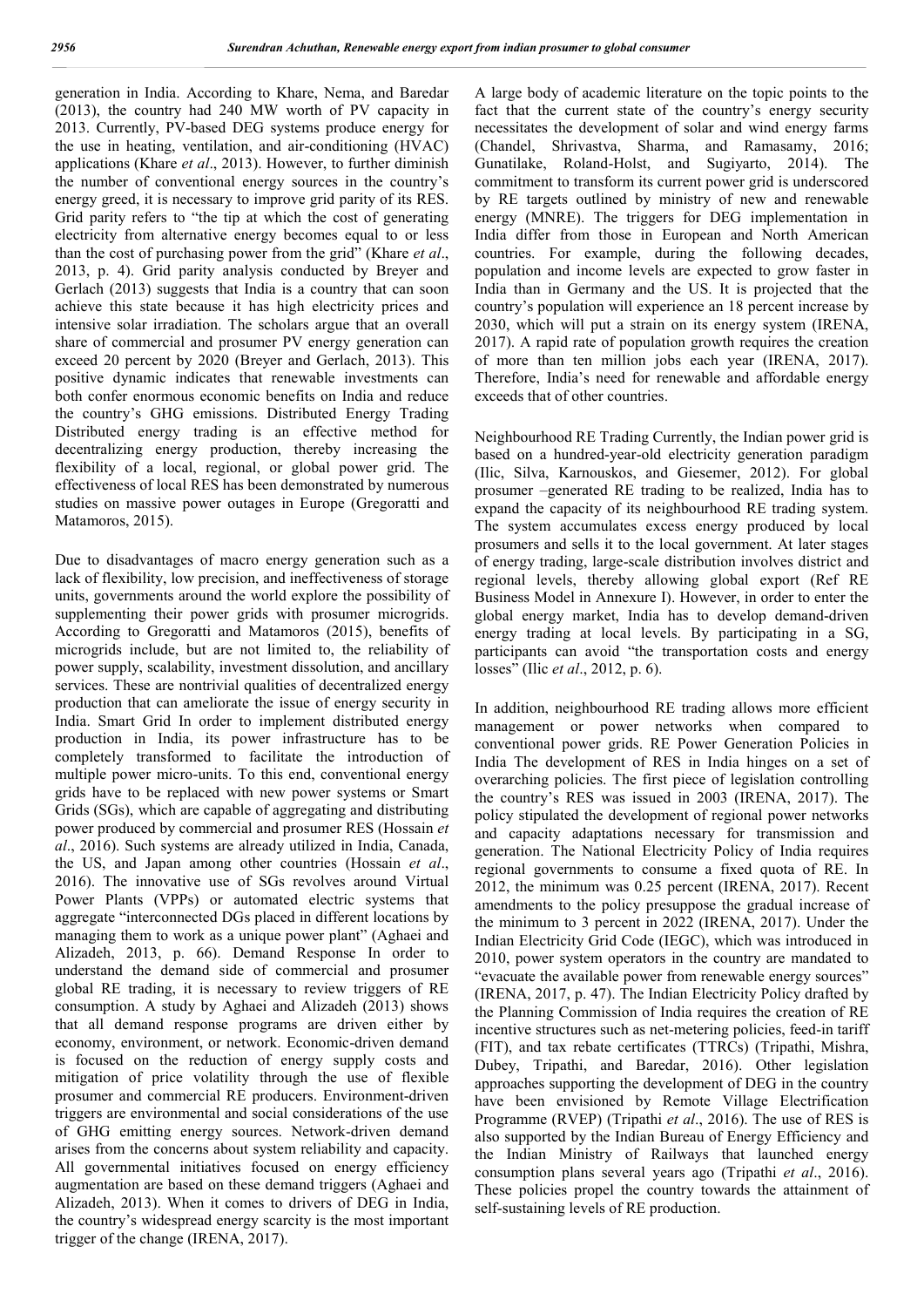generation in India. According to Khare, Nema, and Baredar (2013), the country had 240 MW worth of PV capacity in 2013. Currently, PV-based DEG systems produce energy for the use in heating, ventilation, and air-conditioning (HVAC) applications (Khare *et al*., 2013). However, to further diminish the number of conventional energy sources in the country's energy greed, it is necessary to improve grid parity of its RES. Grid parity refers to "the tip at which the cost of generating electricity from alternative energy becomes equal to or less than the cost of purchasing power from the grid" (Khare *et al*., 2013, p. 4). Grid parity analysis conducted by Breyer and Gerlach (2013) suggests that India is a country that can soon achieve this state because it has high electricity prices and intensive solar irradiation. The scholars argue that an overall share of commercial and prosumer PV energy generation can exceed 20 percent by 2020 (Breyer and Gerlach, 2013). This positive dynamic indicates that renewable investments can both confer enormous economic benefits on India and reduce the country's GHG emissions. Distributed Energy Trading Distributed energy trading is an effective method for decentralizing energy production, thereby increasing the flexibility of a local, regional, or global power grid. The effectiveness of local RES has been demonstrated by numerous studies on massive power outages in Europe (Gregoratti and Matamoros, 2015).

Due to disadvantages of macro energy generation such as a lack of flexibility, low precision, and ineffectiveness of storage units, governments around the world explore the possibility of supplementing their power grids with prosumer microgrids. According to Gregoratti and Matamoros (2015), benefits of microgrids include, but are not limited to, the reliability of power supply, scalability, investment dissolution, and ancillary services. These are nontrivial qualities of decentralized energy production that can ameliorate the issue of energy security in India. Smart Grid In order to implement distributed energy production in India, its power infrastructure has to be completely transformed to facilitate the introduction of multiple power micro-units. To this end, conventional energy grids have to be replaced with new power systems or Smart Grids (SGs), which are capable of aggregating and distributing power produced by commercial and prosumer RES (Hossain *et al*., 2016). Such systems are already utilized in India, Canada, the US, and Japan among other countries (Hossain *et al*., 2016). The innovative use of SGs revolves around Virtual Power Plants (VPPs) or automated electric systems that aggregate "interconnected DGs placed in different locations by managing them to work as a unique power plant" (Aghaei and Alizadeh, 2013, p. 66). Demand Response In order to understand the demand side of commercial and prosumer global RE trading, it is necessary to review triggers of RE consumption. A study by Aghaei and Alizadeh (2013) shows that all demand response programs are driven either by economy, environment, or network. Economic-driven demand is focused on the reduction of energy supply costs and mitigation of price volatility through the use of flexible prosumer and commercial RE producers. Environment-driven triggers are environmental and social considerations of the use of GHG emitting energy sources. Network-driven demand arises from the concerns about system reliability and capacity. All governmental initiatives focused on energy efficiency augmentation are based on these demand triggers (Aghaei and Alizadeh, 2013). When it comes to drivers of DEG in India, the country's widespread energy scarcity is the most important trigger of the change (IRENA, 2017).

A large body of academic literature on the topic points to the fact that the current state of the country's energy security necessitates the development of solar and wind energy farms (Chandel, Shrivastva, Sharma, and Ramasamy, 2016; Gunatilake, Roland-Holst, and Sugiyarto, 2014). The commitment to transform its current power grid is underscored by RE targets outlined by ministry of new and renewable energy (MNRE). The triggers for DEG implementation in India differ from those in European and North American countries. For example, during the following decades, population and income levels are expected to grow faster in India than in Germany and the US. It is projected that the country's population will experience an 18 percent increase by 2030, which will put a strain on its energy system (IRENA, 2017). A rapid rate of population growth requires the creation of more than ten million jobs each year (IRENA, 2017). Therefore, India's need for renewable and affordable energy exceeds that of other countries.

Neighbourhood RE Trading Currently, the Indian power grid is based on a hundred-year-old electricity generation paradigm (Ilic, Silva, Karnouskos, and Giesemer, 2012). For global prosumer –generated RE trading to be realized, India has to expand the capacity of its neighbourhood RE trading system. The system accumulates excess energy produced by local prosumers and sells it to the local government. At later stages of energy trading, large-scale distribution involves district and regional levels, thereby allowing global export (Ref RE Business Model in Annexure I). However, in order to enter the global energy market, India has to develop demand-driven energy trading at local levels. By participating in a SG, participants can avoid "the transportation costs and energy losses" (Ilic *et al*., 2012, p. 6).

In addition, neighbourhood RE trading allows more efficient management or power networks when compared to conventional power grids. RE Power Generation Policies in India The development of RES in India hinges on a set of overarching policies. The first piece of legislation controlling the country's RES was issued in 2003 (IRENA, 2017). The policy stipulated the development of regional power networks and capacity adaptations necessary for transmission and generation. The National Electricity Policy of India requires regional governments to consume a fixed quota of RE. In 2012, the minimum was 0.25 percent (IRENA, 2017). Recent amendments to the policy presuppose the gradual increase of the minimum to 3 percent in 2022 (IRENA, 2017). Under the Indian Electricity Grid Code (IEGC), which was introduced in 2010, power system operators in the country are mandated to "evacuate the available power from renewable energy sources" (IRENA, 2017, p. 47). The Indian Electricity Policy drafted by the Planning Commission of India requires the creation of RE incentive structures such as net-metering policies, feed-in tariff (FIT), and tax rebate certificates (TTRCs) (Tripathi, Mishra, Dubey, Tripathi, and Baredar, 2016). Other legislation approaches supporting the development of DEG in the country have been envisioned by Remote Village Electrification Programme (RVEP) (Tripathi *et al*., 2016). The use of RES is also supported by the Indian Bureau of Energy Efficiency and the Indian Ministry of Railways that launched energy consumption plans several years ago (Tripathi *et al*., 2016). These policies propel the country towards the attainment of self-sustaining levels of RE production.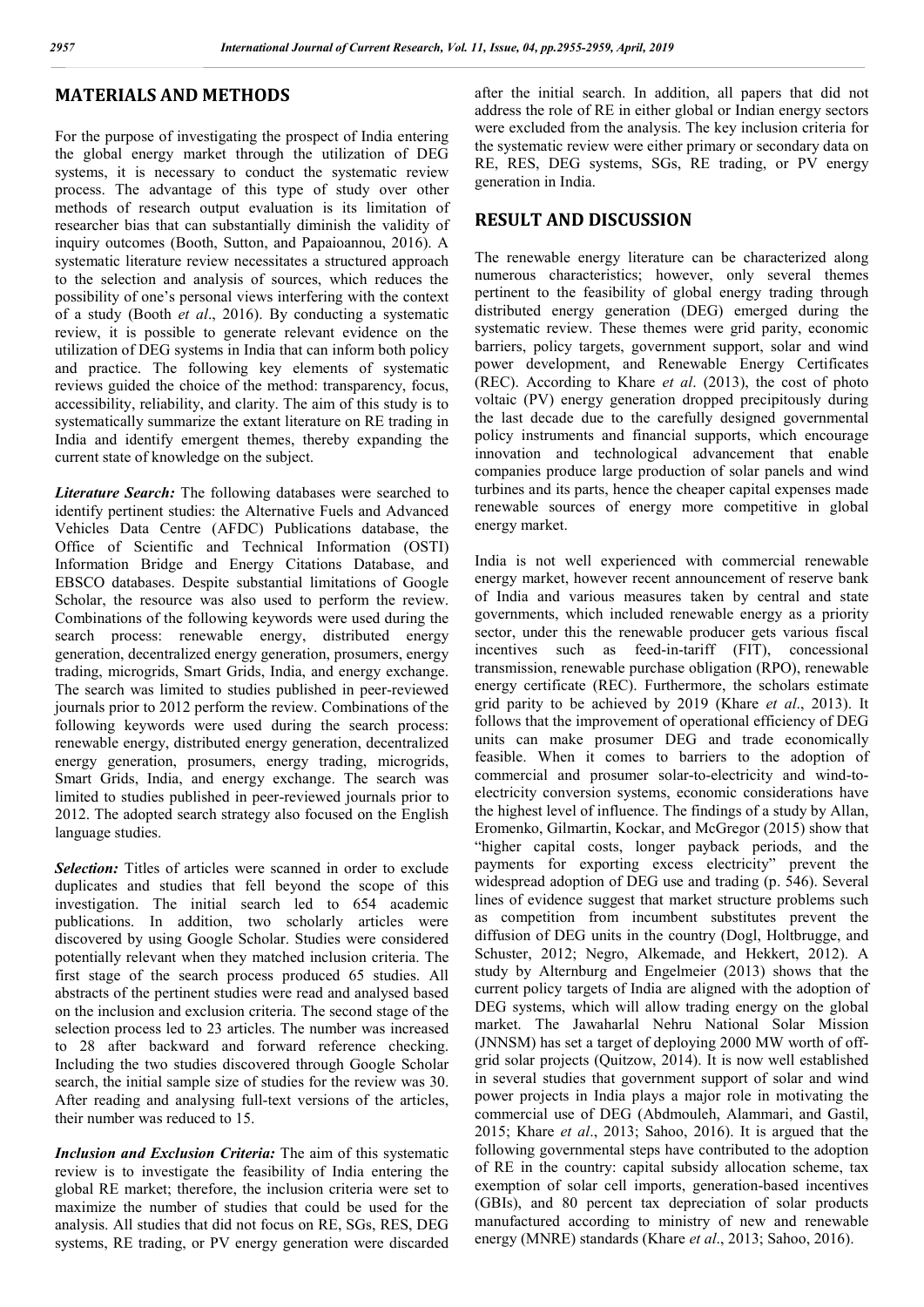# **MATERIALS AND METHODS**

For the purpose of investigating the prospect of India entering the global energy market through the utilization of DEG systems, it is necessary to conduct the systematic review process. The advantage of this type of study over other methods of research output evaluation is its limitation of researcher bias that can substantially diminish the validity of inquiry outcomes (Booth, Sutton, and Papaioannou, 2016). A systematic literature review necessitates a structured approach to the selection and analysis of sources, which reduces the possibility of one's personal views interfering with the context of a study (Booth *et al*., 2016). By conducting a systematic review, it is possible to generate relevant evidence on the utilization of DEG systems in India that can inform both policy and practice. The following key elements of systematic reviews guided the choice of the method: transparency, focus, accessibility, reliability, and clarity. The aim of this study is to systematically summarize the extant literature on RE trading in India and identify emergent themes, thereby expanding the current state of knowledge on the subject.

*Literature Search:* The following databases were searched to identify pertinent studies: the Alternative Fuels and Advanced Vehicles Data Centre (AFDC) Publications database, the Office of Scientific and Technical Information (OSTI) Information Bridge and Energy Citations Database, and EBSCO databases. Despite substantial limitations of Google Scholar, the resource was also used to perform the review. Combinations of the following keywords were used during the search process: renewable energy, distributed energy generation, decentralized energy generation, prosumers, energy trading, microgrids, Smart Grids, India, and energy exchange. The search was limited to studies published in peer-reviewed journals prior to 2012 perform the review. Combinations of the following keywords were used during the search process: renewable energy, distributed energy generation, decentralized energy generation, prosumers, energy trading, microgrids, Smart Grids, India, and energy exchange. The search was limited to studies published in peer-reviewed journals prior to 2012. The adopted search strategy also focused on the English language studies.

*Selection:* Titles of articles were scanned in order to exclude duplicates and studies that fell beyond the scope of this investigation. The initial search led to 654 academic publications. In addition, two scholarly articles were discovered by using Google Scholar. Studies were considered potentially relevant when they matched inclusion criteria. The first stage of the search process produced 65 studies. All abstracts of the pertinent studies were read and analysed based on the inclusion and exclusion criteria. The second stage of the selection process led to 23 articles. The number was increased to 28 after backward and forward reference checking. Including the two studies discovered through Google Scholar search, the initial sample size of studies for the review was 30. After reading and analysing full-text versions of the articles, their number was reduced to 15.

*Inclusion and Exclusion Criteria:* The aim of this systematic review is to investigate the feasibility of India entering the global RE market; therefore, the inclusion criteria were set to maximize the number of studies that could be used for the analysis. All studies that did not focus on RE, SGs, RES, DEG systems, RE trading, or PV energy generation were discarded after the initial search. In addition, all papers that did not address the role of RE in either global or Indian energy sectors were excluded from the analysis. The key inclusion criteria for the systematic review were either primary or secondary data on RE, RES, DEG systems, SGs, RE trading, or PV energy generation in India.

## **RESULT AND DISCUSSION**

The renewable energy literature can be characterized along numerous characteristics; however, only several themes pertinent to the feasibility of global energy trading through distributed energy generation (DEG) emerged during the systematic review. These themes were grid parity, economic barriers, policy targets, government support, solar and wind power development, and Renewable Energy Certificates (REC). According to Khare *et al*. (2013), the cost of photo voltaic (PV) energy generation dropped precipitously during the last decade due to the carefully designed governmental policy instruments and financial supports, which encourage innovation and technological advancement that enable companies produce large production of solar panels and wind turbines and its parts, hence the cheaper capital expenses made renewable sources of energy more competitive in global energy market.

India is not well experienced with commercial renewable energy market, however recent announcement of reserve bank of India and various measures taken by central and state governments, which included renewable energy as a priority sector, under this the renewable producer gets various fiscal incentives such as feed-in-tariff (FIT), concessional transmission, renewable purchase obligation (RPO), renewable energy certificate (REC). Furthermore, the scholars estimate grid parity to be achieved by 2019 (Khare *et al*., 2013). It follows that the improvement of operational efficiency of DEG units can make prosumer DEG and trade economically feasible. When it comes to barriers to the adoption of commercial and prosumer solar-to-electricity and wind-toelectricity conversion systems, economic considerations have the highest level of influence. The findings of a study by Allan, Eromenko, Gilmartin, Kockar, and McGregor (2015) show that "higher capital costs, longer payback periods, and the payments for exporting excess electricity" prevent the widespread adoption of DEG use and trading (p. 546). Several lines of evidence suggest that market structure problems such as competition from incumbent substitutes prevent the diffusion of DEG units in the country (Dogl, Holtbrugge, and Schuster, 2012; Negro, Alkemade, and Hekkert, 2012). A study by Alternburg and Engelmeier (2013) shows that the current policy targets of India are aligned with the adoption of DEG systems, which will allow trading energy on the global market. The Jawaharlal Nehru National Solar Mission (JNNSM) has set a target of deploying 2000 MW worth of offgrid solar projects (Quitzow, 2014). It is now well established in several studies that government support of solar and wind power projects in India plays a major role in motivating the commercial use of DEG (Abdmouleh, Alammari, and Gastil, 2015; Khare *et al*., 2013; Sahoo, 2016). It is argued that the following governmental steps have contributed to the adoption of RE in the country: capital subsidy allocation scheme, tax exemption of solar cell imports, generation-based incentives (GBIs), and 80 percent tax depreciation of solar products manufactured according to ministry of new and renewable energy (MNRE) standards (Khare *et al*., 2013; Sahoo, 2016).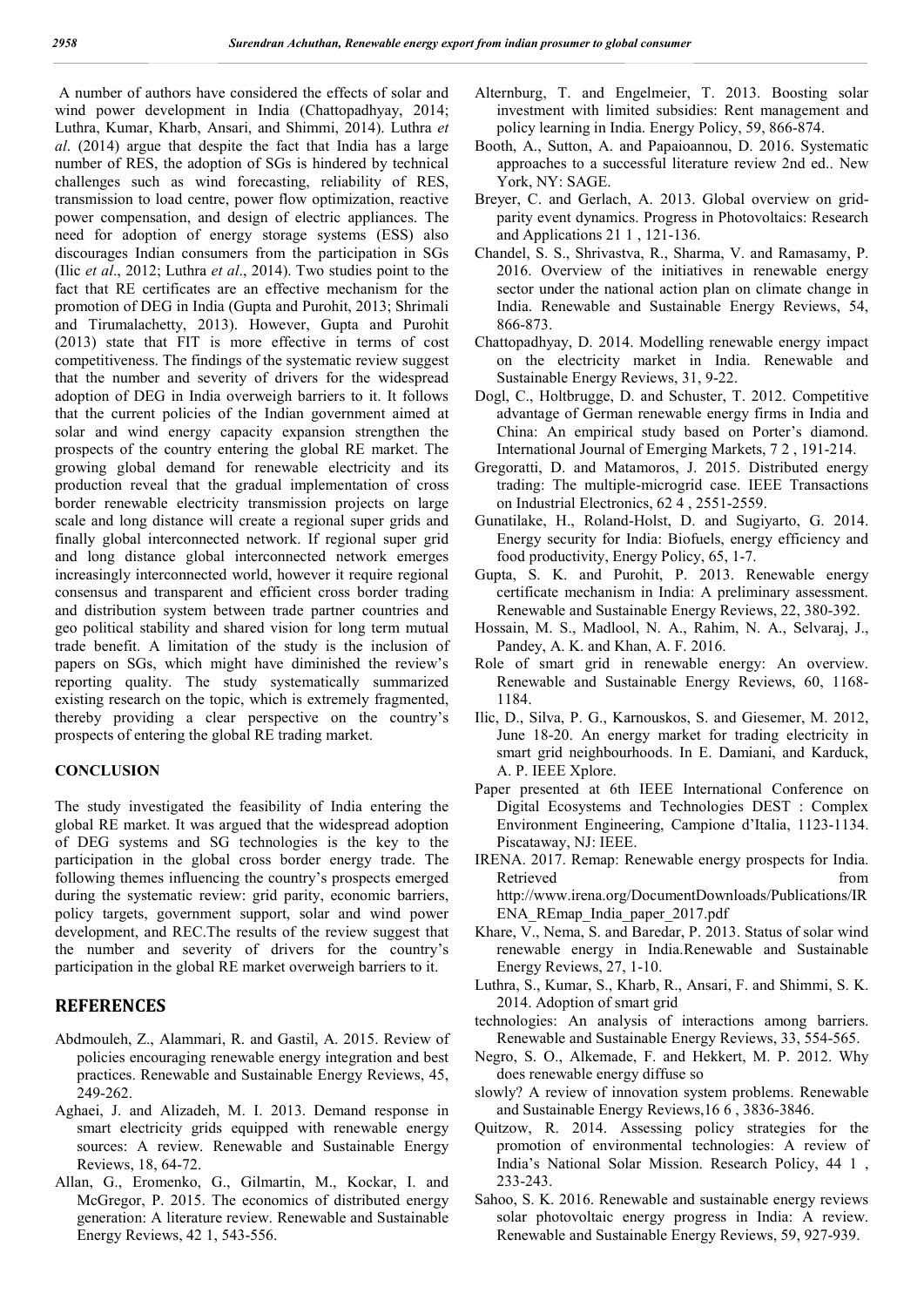A number of authors have considered the effects of solar and wind power development in India (Chattopadhyay, 2014; Luthra, Kumar, Kharb, Ansari, and Shimmi, 2014). Luthra *et al*. (2014) argue that despite the fact that India has a large number of RES, the adoption of SGs is hindered by technical challenges such as wind forecasting, reliability of RES, transmission to load centre, power flow optimization, reactive power compensation, and design of electric appliances. The need for adoption of energy storage systems (ESS) also discourages Indian consumers from the participation in SGs (Ilic *et al*., 2012; Luthra *et al*., 2014). Two studies point to the fact that RE certificates are an effective mechanism for the promotion of DEG in India (Gupta and Purohit, 2013; Shrimali and Tirumalachetty, 2013). However, Gupta and Purohit (2013) state that FIT is more effective in terms of cost competitiveness. The findings of the systematic review suggest that the number and severity of drivers for the widespread adoption of DEG in India overweigh barriers to it. It follows that the current policies of the Indian government aimed at solar and wind energy capacity expansion strengthen the prospects of the country entering the global RE market. The growing global demand for renewable electricity and its production reveal that the gradual implementation of cross border renewable electricity transmission projects on large scale and long distance will create a regional super grids and finally global interconnected network. If regional super grid and long distance global interconnected network emerges increasingly interconnected world, however it require regional consensus and transparent and efficient cross border trading and distribution system between trade partner countries and geo political stability and shared vision for long term mutual trade benefit. A limitation of the study is the inclusion of papers on SGs, which might have diminished the review's reporting quality. The study systematically summarized existing research on the topic, which is extremely fragmented, thereby providing a clear perspective on the country's prospects of entering the global RE trading market.

### **CONCLUSION**

The study investigated the feasibility of India entering the global RE market. It was argued that the widespread adoption of DEG systems and SG technologies is the key to the participation in the global cross border energy trade. The following themes influencing the country's prospects emerged during the systematic review: grid parity, economic barriers, policy targets, government support, solar and wind power development, and REC.The results of the review suggest that the number and severity of drivers for the country's participation in the global RE market overweigh barriers to it.

#### **REFERENCES**

- Abdmouleh, Z., Alammari, R. and Gastil, A. 2015. Review of policies encouraging renewable energy integration and best practices. Renewable and Sustainable Energy Reviews, 45, 249-262.
- Aghaei, J. and Alizadeh, M. I. 2013. Demand response in smart electricity grids equipped with renewable energy sources: A review. Renewable and Sustainable Energy Reviews, 18, 64-72.
- Allan, G., Eromenko, G., Gilmartin, M., Kockar, I. and McGregor, P. 2015. The economics of distributed energy generation: A literature review. Renewable and Sustainable Energy Reviews, 42 1, 543-556.
- Alternburg, T. and Engelmeier, T. 2013. Boosting solar investment with limited subsidies: Rent management and policy learning in India. Energy Policy, 59, 866-874.
- Booth, A., Sutton, A. and Papaioannou, D. 2016. Systematic approaches to a successful literature review 2nd ed.. New York, NY: SAGE.
- Breyer, C. and Gerlach, A. 2013. Global overview on gridparity event dynamics. Progress in Photovoltaics: Research and Applications 21 1 , 121-136.
- Chandel, S. S., Shrivastva, R., Sharma, V. and Ramasamy, P. 2016. Overview of the initiatives in renewable energy sector under the national action plan on climate change in India. Renewable and Sustainable Energy Reviews, 54, 866-873.
- Chattopadhyay, D. 2014. Modelling renewable energy impact on the electricity market in India. Renewable and Sustainable Energy Reviews, 31, 9-22.
- Dogl, C., Holtbrugge, D. and Schuster, T. 2012. Competitive advantage of German renewable energy firms in India and China: An empirical study based on Porter's diamond. International Journal of Emerging Markets, 7 2 , 191-214.
- Gregoratti, D. and Matamoros, J. 2015. Distributed energy trading: The multiple-microgrid case. IEEE Transactions on Industrial Electronics, 62 4 , 2551-2559.
- Gunatilake, H., Roland-Holst, D. and Sugiyarto, G. 2014. Energy security for India: Biofuels, energy efficiency and food productivity, Energy Policy, 65, 1-7.
- Gupta, S. K. and Purohit, P. 2013. Renewable energy certificate mechanism in India: A preliminary assessment. Renewable and Sustainable Energy Reviews, 22, 380-392.
- Hossain, M. S., Madlool, N. A., Rahim, N. A., Selvaraj, J., Pandey, A. K. and Khan, A. F. 2016.
- Role of smart grid in renewable energy: An overview. Renewable and Sustainable Energy Reviews, 60, 1168- 1184.
- Ilic, D., Silva, P. G., Karnouskos, S. and Giesemer, M. 2012, June 18-20. An energy market for trading electricity in smart grid neighbourhoods. In E. Damiani, and Karduck, A. P. IEEE Xplore.
- Paper presented at 6th IEEE International Conference on Digital Ecosystems and Technologies DEST : Complex Environment Engineering, Campione d'Italia, 1123-1134. Piscataway, NJ: IEEE.
- IRENA. 2017. Remap: Renewable energy prospects for India. Retrieved from the settlement of the settlement of the settlement of the settlement of the settlement of the set http://www.irena.org/DocumentDownloads/Publications/IR ENA\_REmap\_India\_paper\_2017.pdf
- Khare, V., Nema, S. and Baredar, P. 2013. Status of solar wind renewable energy in India.Renewable and Sustainable Energy Reviews, 27, 1-10.
- Luthra, S., Kumar, S., Kharb, R., Ansari, F. and Shimmi, S. K. 2014. Adoption of smart grid
- technologies: An analysis of interactions among barriers. Renewable and Sustainable Energy Reviews, 33, 554-565.
- Negro, S. O., Alkemade, F. and Hekkert, M. P. 2012. Why does renewable energy diffuse so
- slowly? A review of innovation system problems. Renewable and Sustainable Energy Reviews,16 6 , 3836-3846.
- Quitzow, R. 2014. Assessing policy strategies for the promotion of environmental technologies: A review of India's National Solar Mission. Research Policy, 44 1 , 233-243.
- Sahoo, S. K. 2016. Renewable and sustainable energy reviews solar photovoltaic energy progress in India: A review. Renewable and Sustainable Energy Reviews, 59, 927-939.